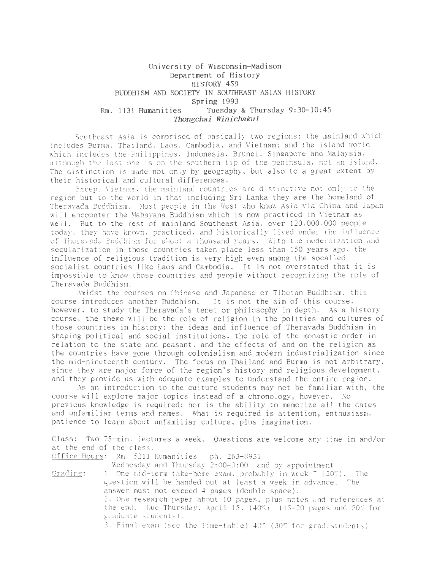# University of Wisconsin-Madison Department of History HISTORY 459 BUDDHISM AND SOCIETY IN SOUTHEAST ASIAN HISTORY Spring 1993 Rm. 1131 Humanities Tuesday & Thursday 9:30-10:45 *Thongchai Winichakul*

Southeast Asia is comprised of basically two regions: the mainland which includes Burma. Thailand. Laos. Cambodia, and Vietnam; and the island world which includes the Philippines, Indonesia, Brunei. Singapore and Malaysia. although the last one is on the southern tip of the peninsula, not an island. The distinction is made not only by geography, but also to a great extent by their historical and cultural differences.

Except Vietnam, the mainland countries are distinctive not only to the region but to the world in that including Sri Lanka they are the homeland of Theravada Buddhism. Most people in the West who know Asia via China and Japan will encounter the Mahayana Buddhism which is now practiced in Vietnam as well. But to the rest of mainland Southeast Asia, over 120,000.000 people today. they have known, practiced, and historically lived under the influence of Theravada Buddhism for about a thousand years. With the modernization and secularization in those countries taken place less than 150 years ago, the influence of religious tradition is very high even among the socalled socialist countries like Laos and Cambodia . It is not overstated that it is impossible to know those countries and people without recognizing the role of Theravada Buddhism.

Amidst the courses on Chinese and Japanese or Tibetan Buddhism. this course introduces another Buddhism. It is not the aim of this course, however, to study the Theravada's tenet or philosophy in depth. As a history course. the theme will be the role of religion in the polities and cultures of those countries in history: the ideas and influence of Theravada Buddhism in shaping political and social institutions, the role of the monastic order in relation to the state and peasant. and the effects of and on the religion as the countries have gone through colonialism and modern industrialization since the mid-nineteenth century. The focus on Thailand and Burma is not arbitrary, since they are major force of the region's history and religious development, and they provide us with adequate examples to understand the entire region.

As an introduction to the culture students may not be familiar with, the course will explore major topics instead of a chronology, however. No previous knowledge is required; nor is the ability to memorize all the dates and unfamiliar terms and names. What is required is attention, enthusiasm. patience to learn about unfamiliar culture, plus imagination.

Class: Two 75-min. lectures a week. Questions are welcome any time in and/or at the end of the class.

Cffice Hours: Rm. 5211 Humanities ph. 263-S931

Wednesday and Thursday 2:00-3:00 and by appointment Grading: 1. One mid-term take-home exam. probably in week  $7/(20\%)$ . The question will be handed out at least a week in advance. The answer must not exceed 4 pages (double space). 2. One research paper about 10 pages, plus notes and references at the end. Due Thursday,  $April 15. (40%) (15-20 pages and 50% for...$ g. aduate students). 3. Final exam (see the Time-table) 40% (30% for grad. students)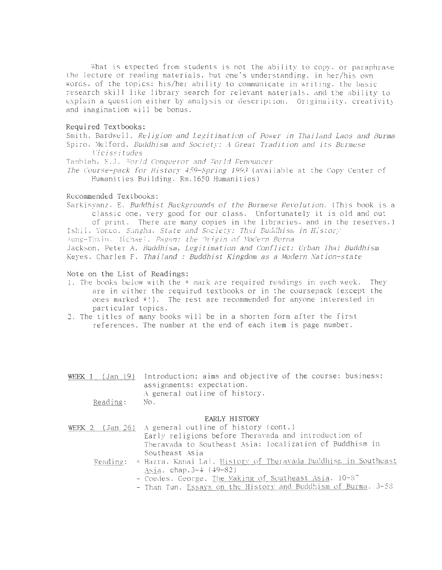What is expected from students is not the ability to copy. or paraphrase the lecture or reading materials, but one's understanding, in her/his own words . of the topics; his/her ability to communicate in writing. the basic research skill like library search for relevant materials. and the ability to explain a question either by analysis or description. Originality, creativity and imagination will be bonus.

# Required Textbooks:

Smith, Bardwell. Religion and Legitimation of Power jn Thailand Laos and Burma Spiro. Melford. Buddhism and Society: A Great Tradition and its Burmese licissitudes

Tambiah, S.J. World Conqueror and World Renouncer

The Course-pack for History 459-Spring 1993 (available at the Copy Center of Humanities Building, Rm.l650 Humanities)

### Recommended Textbooks:

Sarkisyanz, E. Buddhist Backgrounds of the Burmese Revolution. (This book is a classic one, very good for our class. Unfortunately it is old and out of print. There are many copies in the libraries, and in the reserves.) Ishii. Yoneo. Sangha. State and Society: Thai Buddhism in History Aung-Thwin, Michael, Pagan: the Origin of Modern Burma Jackson, Peter A. Buddhism, Legitimation and Conflict: Urban Thai Buddhism Keyes, Charles F. Thailand : Buddhist Kingdom as a Modern Nation-state

### Note on the List of Readings:

- 1. The books below with the \* mark are required readings in each week. They are in either the required textbooks or in the coursepack (except the ones marked \*!). The rest are recommended for anyone interested in particular topics.
- 2. The titles of many books will be in a shorten form after the first references. The number at the end of each item is page number.

|          | WEEK 1 (Jan 19) Introduction: aims and objective of the course: business; |  |  |  |  |  |  |  |
|----------|---------------------------------------------------------------------------|--|--|--|--|--|--|--|
|          | assignments; expectation.                                                 |  |  |  |  |  |  |  |
|          | A general outline of history.                                             |  |  |  |  |  |  |  |
| Reading: | NO.                                                                       |  |  |  |  |  |  |  |

#### EARLY HISTORY

| WEEK 2 (Jan 26) A general outline of history (cont.)                     |
|--------------------------------------------------------------------------|
| Early religions before Theravada and introduction of                     |
| Theravada to Southeast Asia; localization of Buddhism in                 |
| Southeast Asia                                                           |
| Reading: * Hazra, Kanai Lal. History of Theravada Buddhism, in Southeast |
| Asia. chap. 3-4 (49-82)                                                  |
| - Coedes. George. The Making of Southeast Asia. 10-87                    |
| - Than Tun. Essays on the History and Buddhism of Burma. 3-58            |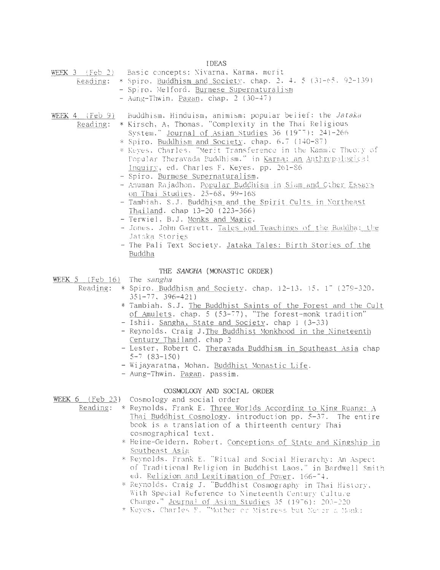**IDEAS** 

| $-$ |  |  |  |  | WEEK 3 (Feb 2) Basic concepts: Nivarna, Karma, merit |  |  |  |  |
|-----|--|--|--|--|------------------------------------------------------|--|--|--|--|
|-----|--|--|--|--|------------------------------------------------------|--|--|--|--|

- Keading: \* Spiro. Buddhism and Society. chap. 2. 4. 5 (31-65. 92-139)
	- Spiro. Melford. Burmese Supernaturalism
		- $-$  Aung-Thwin. Pagan. chap. 2 (30-47)

Buddhism, Hinduism, animism; popular belief: the Jataka WEEK  $4$  (Feb  $9$ )

- Reading: \* Kirsch, A, Thomas. "Complexity in the Thai Religious System." Journal of Asian Studies 36 (1977): 241-266
	- \* Spiro. Buddhism and Society. chap. 6.7 (140-87)
	- \* Keyes, Charles, "Merit Transference in the Kammic Theory of Popular Theravada Puddhism." in Karma: an Anthropological Inquiry, ed. Charles F. Keyes. pp. 261-86
	- Spiro. Burmese Supernaturalism.
	- Anuman Rajadhon. Popular Buddhism in Siam and Cther Essays on Thai Studies. 25-68, 99-168
	- Tambiah, S.J. Buddhism and the Spirit Cults in Northeast Thailand. chap 13-20 (223-366)
	- Terwiel, B.J. Monks and Magic.
	- Jones. John Garrett. Tales and Teachings of the Buddha: the Jataka Stories
	- The Pali Text Society. Jataka Tales: Birth Stories of the Buddha

### THE SANGHA (MONASTIC ORDER)

WEEK 5 (Feb 16) The sangha

- \* Spiro. Buddhism and Society. chap. 12-13. 15. 17 (279-320. Reading:  $351 - 77$ ,  $396 - 421$ )
	- \* Tambiah. S.J. The Buddhist Saints of the Forest and the Cult of Amulets. chap. 5 (53-77), "The forest-monk tradition"
	- Ishii. Sangha, State and Society. chap 1 (3-33)
	- Reynolds. Craig J. The Buddhist Monkhood in the Nineteenth Century Thailand. chap 2
	- Lester, Robert C. Theravada Buddhism in Southeast Asia chap  $5-7$  (83-150)
	- Wijayaratna, Mohan. Buddhist Monastic Life.
	- Aung-Thwin. Pagan. passim.

# COSMOLOGY AND SOCIAL ORDER

- WEEK 6 (Feb 23) Cosmology and social order
	- Reading: \* Reynolds, Frank E. Three Worlds According to King Ruang: A Thai Buddhist Cosmology. introduction pp. 5-37. The entire book is a translation of a thirteenth century Thai cosmographical text.
		- \* Heine-Geldern. Robert. Conceptions of State and Kingship in Southeast Asia
		- \* Reynolds. Frank E. "Ritual and Social Hierarchy: An Aspect of Traditional Religion in Buddhist Laos," in Bardwell Smith ed. Religion and Legitimation of Power. 166-74.
		- \* Reynolds. Craig J. "Buddhist Cosmography in Thai History. With Special Reference to Nineteenth Century Culture Change." Journal of Asian Studies 35 (1976): 203-220
		- \* Keyes, Charles F. "Mother or Mistress but Newer a Monk: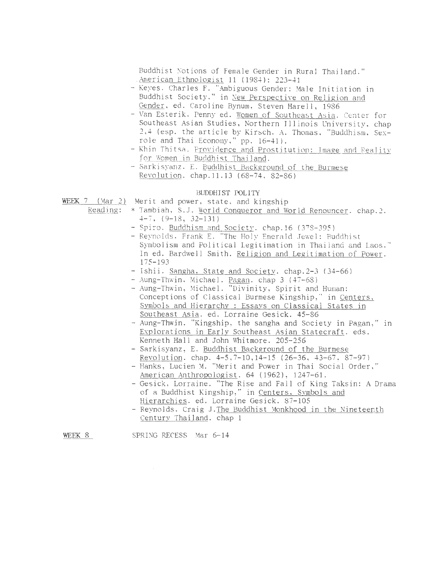Buddhist Notions of Female Gender in Rural Thailand." American Ethnologist 11 (1984): 223-41

- Keyes. Charles F. "Ambiguous Gender: Male Initiation in Buddhist Society," in New Perspective on Religion and Gender, ed. Caroline Bynum, Steven Harell, 1986
- Van Esterik. Penny ed. Women of Southeast Asia. Center for Southeast Asian Studies, Northern Illinois University, chap 2,4 (esp. the article by Kirsch. A. Thomas, "Buddhism, Sexrole and Thai Economy," pp. 16-41).
- Khin Thitsa. Providence and Prostitution: Image and Reality for Women in Buddhist Thailand.
- Sarkisyanz. E. Buddhist Background of the Burmese Revolution. chap.ll.13 (68-74, 82-86)

### BUDDHIST POLITY

WEEK 7 (Mar 2) Merit and power, state, and kingship

- Reading: \* Tambiah, S.J. World Conqueror and World Renouncer. chap.2.<br> $4-7$ , (9-18, 32-131) 4-7, (9-18, 32-131)<br>- Spiro. <u>Buddhism and Society</u>. chap.16 (378-395)
	-
	- Reynolds. Frank E. "The Holy Emerald Jewel: Buddhist Symbolism and Political Legitimation in Thailand and Laos." In ed. Bardwell Smith. Religion and Legitimation of Power. 175-193
	- Ishii. Sangha. State and Societv. chap.2-3 (34-66)
	- Aung-Thwin, Michael. Pagan. chap 3 (47-68)
	- Aung-Thwin, Michael. "Divinity, Spirit and Human: Conceptions of Classical Burmese Kingship," in Centers, Symbols and Hierarchy : Essays on Classical States in Southeast Asia. ed. Lorraine Gesick. 45-86
	- Aung-Thwin. "Kingship, the sangha and Society in Pagan," in Explorations in Early Southeast Asian Statecraft. eds. Kenneth Hall and John Whitmore. 205-256
	- Sarkisyanz, E. Buddhist Background of the Burmese Revolution. chap. 4-5,7-10,14-15 (26-36, 43-67, 87-97)
	- Hanks, Lucien M. "Merit and Power in Thai Social Order, '' American Anthropologist. 64 (1962), 1247-61.
	- Gesick, Lorraine. "The Rise and Fall of King Taksin: A Drama of a Buddhist Kingship," in Centers. Svmbols and Hierarchies. ed. Lorraine Gesick. 87-105
	- Reynolds, Craig J. The Buddhist Monkhood in the Nineteenth Centurv Thailand. chap 1

WEEK 8 SPRING RECESS Mar 6-14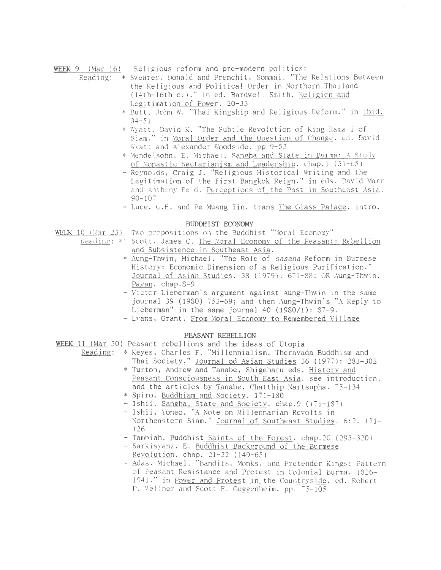WEEK 9 (Mar 16) Religious reform and pre-modern politics:

- Reading: \* Swearer, Donald and Premchit, Sommai. "The Relations Between the Religious and Political Order in Northern Thailand (14th-16th c.)." in ed. Bardwell Smith. Religion and Legitimation of Power. 20-33
	- \* Butt, John W. "Thai Kingship and Religious Reform," in ibid.  $34 - 51$
	- \* Wyatt. David K. "The Subtle Revolution of King Rama I of Siam." in Moral Order and the Question of Change. ed. David Wyatt and Alexander Woodside. pp 9-52
	- \* Mendelsohn, E. Michael. Sangha and State in Burma: A Study of Monastic Sectarianism and Leadership. chap.1 (31-65)
	- Reynolds, Craig J. "Religious Historical Writing and the Legitimation of the First Bangkok Reign." in eds. David Marr and Anthony Reid. Perceptions of the Past in Southeast Asia.  $90 - 107$
	- Luce. G.H. and Pe Muang Tin. trans The Glass Palace. intro.

#### BUDDHIST ECONOMY

WEEK 10 (Mar 23) Two propositions on the Buddhist "Moral Economy"

- Reading: \*! Scott, James C. The Moral Economy of the Peasant: Rebellion and Subsistence in Southeast Asia.
	- \* Aung-Thwin, Michael. "The Role of sasana Reform in Burmese History: Economic Dimension of a Religious Purification." Journal of Asian Studies. 38 (1979): 671-88: OR Aung-Thwin. Pagan. chap. 8-9
	- Victor Lieberman's argument against Aung-Thwin in the same journal 39 (1980) 753-69; and then Aung-Thwin's "A Reply to Lieberman" in the same journal 40 (1980/1):  $87-9$ .
	- Evans, Grant. From Moral Economy to Remembered Village

# PEASANT REBELLION

WEEK 11 (Mar 30) Peasant rebellions and the ideas of Utopia

- Reading: \* Keyes, Charles F. "Millennialism, Theravada Buddhism and Thai Society," Journal od Asian Studies 36 (1977): 283-302
	- \* Turton, Andrew and Tanabe, Shigeharu eds. History and Peasant Consciousness in South East Asia. see introduction. and the articles by Tanabe, Chatthip Nartsupha. 75-134
	- \* Spiro. Buddhism and Society. 171-180
	- Ishii. Sangha, State and Society. chap.9 (171-187)
	- Ishii, Yoneo. "A Note on Millennarian Revolts in Northeastern Siam," Journal of Southeast Studies. 6:2, 121-126
	- Tambiah. Buddhist Saints of the Forest. chap.20 (293-320)
	- Sarkisyanz. E. Buddhist Background of the Burmese Revolution. chap. 21-22 (149-65)
	- Adas. Michael. "Bandits. Monks. and Pretender Kings: Pattern of Peasant Resistance and Protest in Colonial Burma. 1826-1941." in Power and Protest in the Countryside, ed. Robert P. Wellner and Scott E. Guggenheim. pp. 75-105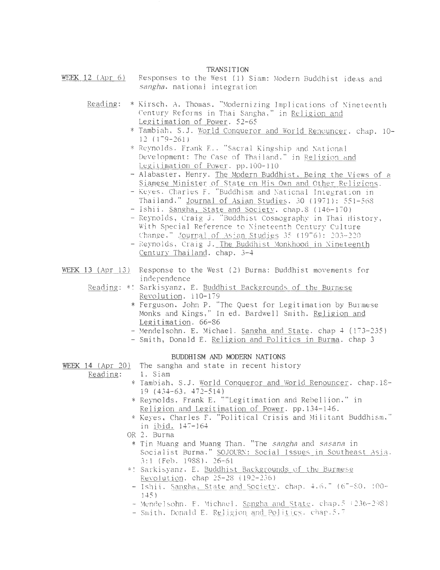#### TRANSITION

- WEEK 12 (Apr 6) Responses to the West (1) Siam: Modern Buddhist ideas and sangha, national integration
	- Reading: \* Kirsch, A. Thomas. "Modernizing Implications of Nineteenth Century Reforms in Thai Sangha," in <u>Religion and</u><br>Legitimation of Power. 52-65
		- \* Tambiah, S.J. World Conqueror and World Renouncer. chap. 10-12 (179-261)
		- \* Reynolds. Frank E., "Sacral Kingship and National Development: The Case of Thailand." in Religion and Legitimation of Power. pp.l00-110
		- Alabaster, Henry. The Modern Buddhist, Being the Views of a Siamese Minister of State on His Own and Other Religions.
		- Keyes, Charles F. "Buddhism and National Integration in Thailand," Journal of Asian Studies. 30 (1971): 551-568
		- Ishii. Sangha, State and Society. chap.8 (146-170)
		- -Reynolds, Craig J. "Buddhist Cosmography in Thai History, With Special Reference to Nineteenth Century Culture Change." Journal of Asian Studies 35 (1976): 203-220
		- Reynolds, Craig J. The Buddhist Monkhood in Nineteenth Century Thailand. chap. 3-4
- WEEK 13 (Apr 13) Response to the West (2) Burma: Buddhist movements for independence
	- Reading: \*! Sarkisyanz, E. Buddhist Backgrounds of the Burmese Revolution. 110-179
		- \*Ferguson, John P. ''The Quest for Legitimation by Burmese Monks and Kings," In ed. Bardwell Smith. Religion and Legitimation. 66-86
		- Mendelsohn. E. Michael. Sangha and State. chap 4 (173-235)
		- Smith, Donald E. Religion and Politics in Burma. chap 3

## BUDDHISM AND MODERN NATIONS

WEEK 14 (Apr 20) The sangha and state in recent history

Reading: 1. Siam

- \* Tambiah, S.J. World Conqueror and World Renouncer. chap.lS-19 (434-63, 472-514)
- \*Reynolds, frank E. ""Legitimation and Rebellion," in Religion and Legitimation of Power. pp.134-146.
- \* Keyes, Charles f. "Political Crisis and Militant Buddhism," in <u>ibid.</u> 147-164
- OR 2. Burma
- \* Tin Muang and Muang Than. "The sangha and sasana in Socialist Burma." SOJOURN: Social Issues in Southeast Asia. 3:1 (feb. 1988). 26-61
- \*! Sarkisyanz, E. Buddhist Backgrounds of the Burmese Revolution. chap  $25-28$  (192-236)
- Ishii. Sangha, State and Society. chap. 4.6. (67-80. 100-1-+5)
- Mendelsohn, E. Michael. Sangha and State, chap.5 (236-298)
- Smith. Donald E. Religion and Politics. chap.5.7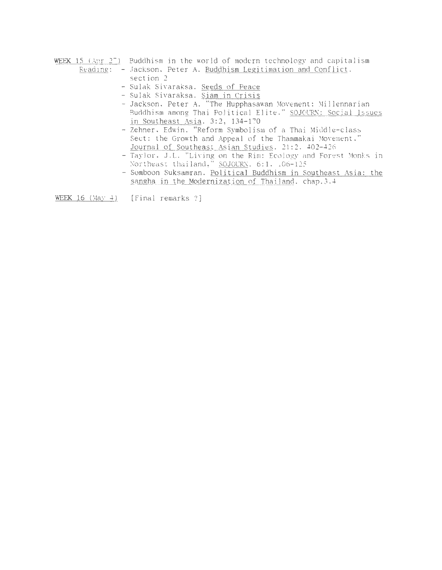WEEK 15 (Apr 2<sup>-</sup>) Buddhism in the world of modern technology and capitalism Reading: - Jackson, Peter A. Buddhism Legitimation and Conflict.

- section 2
- Sulak Sivaraksa. Seeds of Peace
- Sulak Sivaraksa. Siam in Crisis
- Jackson, Peter A. "The Hupphasawan Movement: Millennarian Buddhism among Thai Political Elite." SOJOURN: Social Issues in Southeast Asia. 3:2, 134-170
- Zehner, Edwin. "Reform Symbolism of a Thai Middle-class Sect: the Growth and Appeal of the Thammakai Movement." Journal of Southeast Asian Studies. 21:2. 402-426.
- Taylor. J.L. "Living on the Rim: Ecology and Forest Monks in Northeast thailand," SOJOURN, 6:1, 106-125
- Somboon Suksamran. Political Buddhism in Southeast Asia: the sangha in the Modernization of Thailand. chap.3.4

 $\text{WEEK}$  16 (May 4) [Final remarks ?]